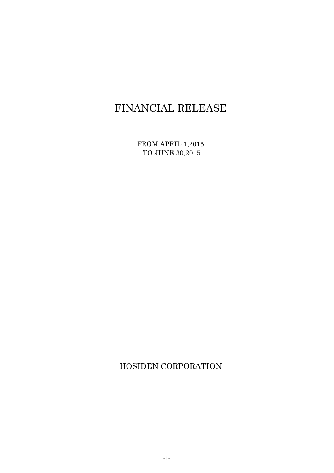# FINANCIAL RELEASE

FROM APRIL 1,2015 TO JUNE 30,2015

HOSIDEN CORPORATION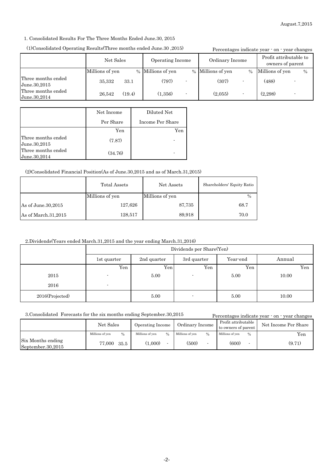#### 1. Consolidated Results For The Three Months Ended June.30, 2015

#### (1)Consolidated Operating Results(Three months ended June.30 ,2015)

|                                    |                 |           |                   |                  | Percentages indicate year - on - year changes |                 |                 |                                            |  |
|------------------------------------|-----------------|-----------|-------------------|------------------|-----------------------------------------------|-----------------|-----------------|--------------------------------------------|--|
|                                    |                 | Net Sales |                   | Operating Income |                                               | Ordinary Income |                 | Profit attributable to<br>owners of parent |  |
|                                    | Millions of yen |           | % Millions of yen |                  | % Millions of yen                             | $\frac{0}{0}$   | Millions of yen | $\%$                                       |  |
| Three months ended<br>June.30,2015 | 35,332          | 33.1      | (797)             |                  | (307)                                         |                 | (488)           |                                            |  |
| Three months ended<br>June.30,2014 | 26.542          | (19.4)    | (1,356)           |                  | (2.055)                                       |                 | (2,298)         |                                            |  |

|                                    | Net Income | Diluted Net      |
|------------------------------------|------------|------------------|
|                                    | Per Share  | Income Per Share |
|                                    | Yen        | Yen              |
| Three months ended<br>June.30,2015 | (7.87)     |                  |
| Three months ended<br>June.30,2014 | (34.76)    |                  |

#### (2)Consolidated Financial Position(As of June.30,2015 and as of March.31,2015)

|                        | <b>Total Assets</b> | Net Assets      | Shareholders' Equity Ratio |
|------------------------|---------------------|-----------------|----------------------------|
|                        | Millions of yen     | Millions of yen | $\%$                       |
| As of June. $30,2015$  | 127,626             | 87,735          | 68.7                       |
| As of March. $31,2015$ | 128,517             | 89,918          | 70.0                       |

#### 2.Dividends(Years ended March.31,2015 and the year ending March.31,2016)

|                 | Dividends per Share(Yen) |             |             |          |        |
|-----------------|--------------------------|-------------|-------------|----------|--------|
|                 | 1st quarter              | 2nd quarter | 3rd quarter | Year-end | Annual |
|                 | Yen                      | Yen.        | Yen         | Yen      | Yen    |
| 2015            | $\overline{\phantom{a}}$ | 5.00        |             | 5.00     | 10.00  |
| 2016            | $\overline{\phantom{a}}$ |             |             |          |        |
| 2016(Projected) |                          | 5.00        |             | 5.00     | 10.00  |

#### 3.Consolidated Forecasts for the six months ending September.30,2015

| 3. Consolidated Forecasts for the six months ending September. 30, 2015 |                                  |                                  |                         |                                            | Percentages indicate year - on - year changes |
|-------------------------------------------------------------------------|----------------------------------|----------------------------------|-------------------------|--------------------------------------------|-----------------------------------------------|
|                                                                         | Net Sales                        | Operating Income                 | Ordinary Income         | Profit attributable<br>to owners of parent | Net Income Per Share                          |
|                                                                         | Millions of ven<br>$\frac{0}{0}$ | Millions of ven<br>$\frac{0}{0}$ | Millions of ven<br>$\%$ | Millions of yen<br>$\frac{0}{6}$           | Yen                                           |
| Six Months ending<br>September.30,2015                                  | 77.000<br>35.5                   | (1.000)                          | (500)                   | (600)                                      | (9.71)                                        |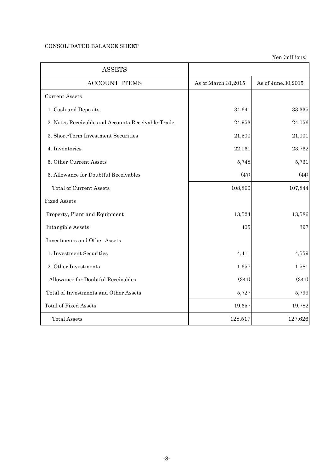# CONSOLIDATED BALANCE SHEET

| <b>ASSETS</b>                                     |                     |                    |
|---------------------------------------------------|---------------------|--------------------|
| <b>ACCOUNT ITEMS</b>                              | As of March.31,2015 | As of June.30,2015 |
| <b>Current Assets</b>                             |                     |                    |
| 1. Cash and Deposits                              | 34,641              | 33,335             |
| 2. Notes Receivable and Accounts Receivable-Trade | 24,953              | 24,056             |
| 3. Short-Term Investment Securities               | 21,500              | 21,001             |
| 4. Inventories                                    | 22,061              | 23,762             |
| 5. Other Current Assets                           | 5,748               | 5,731              |
| 6. Allowance for Doubtful Receivables             | (47)                | (44)               |
| <b>Total of Current Assets</b>                    | 108,860             | 107,844            |
| <b>Fixed Assets</b>                               |                     |                    |
| Property, Plant and Equipment                     | 13,524              | 13,586             |
| Intangible Assets                                 | 405                 | 397                |
| <b>Investments and Other Assets</b>               |                     |                    |
| 1. Investment Securities                          | 4,411               | 4,559              |
| 2. Other Investments                              | 1,657               | 1,581              |
| Allowance for Doubtful Receivables                | (341)               | (341)              |
| Total of Investments and Other Assets             | 5,727               | 5,799              |
| <b>Total of Fixed Assets</b>                      | 19,657              | 19,782             |
| <b>Total Assets</b>                               | 128,517             | 127,626            |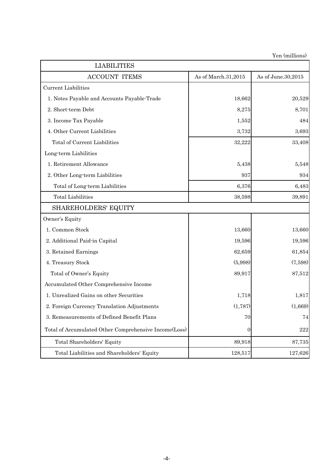| <b>LIABILITIES</b>                                    |                     |                    |
|-------------------------------------------------------|---------------------|--------------------|
| <b>ACCOUNT ITEMS</b>                                  | As of March.31,2015 | As of June.30,2015 |
| <b>Current Liabilities</b>                            |                     |                    |
| 1. Notes Payable and Accounts Payable-Trade           | 18,662              | 20,529             |
| 2. Short-term Debt                                    | 8,275               | 8,701              |
| 3. Income Tax Payable                                 | 1,552               | 484                |
| 4. Other Current Liabilities                          | 3,732               | 3,693              |
| Total of Current Liabilities                          | 32,222              | 33,408             |
| Long-term Liabilities                                 |                     |                    |
| 1. Retirement Allowance                               | 5,438               | 5,548              |
| 2. Other Long-term Liabilities                        | 937                 | 934                |
| Total of Long-term Liabilities                        | 6,376               | 6,483              |
| <b>Total Liabilities</b>                              | 38,598              | 39,891             |
| <b>SHAREHOLDERS' EQUITY</b>                           |                     |                    |
| Owner's Equity                                        |                     |                    |
| 1. Common Stock                                       | 13,660              | 13,660             |
| 2. Additional Paid-in Capital                         | 19,596              | 19,596             |
| 3. Retained Earnings                                  | 62,659              | 61,854             |
| 4. Treasury Stock                                     | (5,998)             | (7,598)            |
| Total of Owner's Equity                               | 89,917              | 87,512             |
| Accumulated Other Comprehensive Income                |                     |                    |
| 1. Unrealized Gains on other Securities               | 1,718               | 1,817              |
| 2. Foreign Currency Translation Adjustments           | (1,787)             | (1,669)            |
| 3. Remeasurements of Defined Benefit Plans            | 70                  | 74                 |
| Total of Accumulated Other Comprehensive Income(Loss) | $\mathbf{0}$        | 222                |
| Total Shareholders' Equity                            | 89,918              | 87,735             |
| Total Liabilities and Shareholders' Equity            | 128,517             | 127,626            |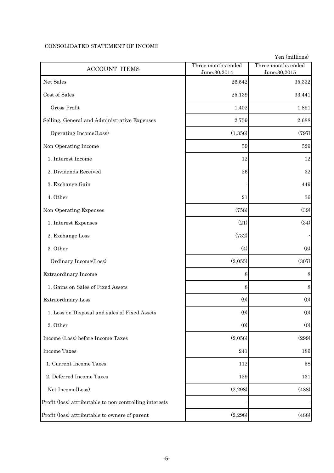## CONSOLIDATED STATEMENT OF INCOME

| <b>ACCOUNT ITEMS</b>                                    | Three months ended<br>June.30,2014 | Three months ended<br>June.30,2015 |
|---------------------------------------------------------|------------------------------------|------------------------------------|
| Net Sales                                               | 26,542                             | 35,332                             |
| Cost of Sales                                           | 25,139                             | 33,441                             |
| Gross Profit                                            | 1,402                              | 1,891                              |
| Selling, General and Administrative Expenses            | 2,759                              | 2,688                              |
| Operating Income(Loss)                                  | (1,356)                            | (797)                              |
| Non-Operating Income                                    | 59                                 | 529                                |
| 1. Interest Income                                      | 12                                 | $12\,$                             |
| 2. Dividends Received                                   | 26                                 | $32\,$                             |
| 3. Exchange Gain                                        |                                    | 449                                |
| 4. Other                                                | 21                                 | 36                                 |
| Non-Operating Expenses                                  | (758)                              | (39)                               |
| 1. Interest Expenses                                    | (21)                               | (34)                               |
| 2. Exchange Loss                                        | (732)                              |                                    |
| 3. Other                                                | (4)                                | (5)                                |
| Ordinary Income(Loss)                                   | (2,055)                            | (307)                              |
| <b>Extraordinary Income</b>                             | 8                                  | $\,8\,$                            |
| 1. Gains on Sales of Fixed Assets                       | 8                                  | $\,8\,$                            |
| <b>Extraordinary Loss</b>                               | (9)                                | (0)                                |
| 1. Loss on Disposal and sales of Fixed Assets           | (9)                                | (0)                                |
| 2. Other                                                | (0)                                | (0)                                |
| Income (Loss) before Income Taxes                       | (2,056)                            | (299)                              |
| <b>Income Taxes</b>                                     | 241                                | 189                                |
| 1. Current Income Taxes                                 | 112                                | $58\,$                             |
| 2. Deferred Income Taxes                                | 129                                | 131                                |
| Net Income(Loss)                                        | (2,298)                            | (488)                              |
| Profit (loss) attributable to non-controlling interests |                                    |                                    |
| Profit (loss) attributable to owners of parent          | (2,298)                            | (488)                              |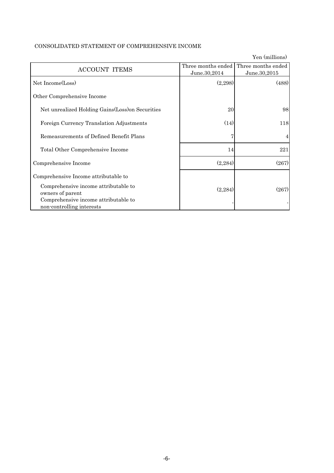| CONSOLIDATED STATEMENT OF COMPREHENSIVE INCOME |
|------------------------------------------------|
|------------------------------------------------|

| <b>ACCOUNT ITEMS</b>                                              | Three months ended<br>June.30,2014 | Three months ended<br>June.30,2015 |
|-------------------------------------------------------------------|------------------------------------|------------------------------------|
| Net Income(Loss)                                                  | (2,298)                            | (488)                              |
| Other Comprehensive Income                                        |                                    |                                    |
| Net unrealized Holding Gains (Loss) on Securities                 | 20                                 | 98                                 |
| Foreign Currency Translation Adjustments                          | (14)                               | 118                                |
| Remeasurements of Defined Benefit Plans                           |                                    |                                    |
| Total Other Comprehensive Income                                  | 14                                 | 221                                |
| Comprehensive Income                                              | (2,284)                            | (267)                              |
| Comprehensive Income attributable to                              |                                    |                                    |
| Comprehensive income attributable to<br>owners of parent          | (2, 284)                           | (267)                              |
| Comprehensive income attributable to<br>non-controlling interests |                                    |                                    |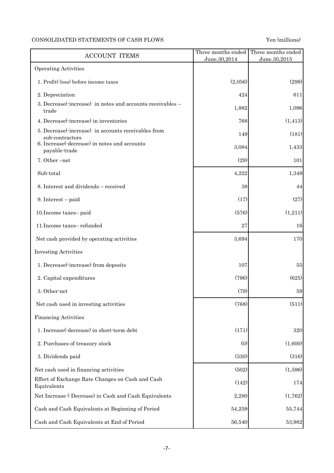# CONSOLIDATED STATEMENTS OF CASH FLOWS Yen (millions)

| <b>ACCOUNT ITEMS</b>                                                   | Three months ended<br>June.30,2014 | Three months ended<br>June.30,2015 |
|------------------------------------------------------------------------|------------------------------------|------------------------------------|
| <b>Operating Activities</b>                                            |                                    |                                    |
| 1. Profit <sup>(-loss)</sup> before income taxes                       | (2,056)                            | (299)                              |
| 2. Depreciation                                                        | 424                                | 611                                |
| 3. Decrease (increase) in notes and accounts receivables –<br>trade    | 1,882                              | 1,096                              |
| 4. Decrease (increase) in inventories                                  | 768                                | (1,413)                            |
| 5. Decrease (increase) in accounts receivables from<br>sub-contractors | 149                                | (181)                              |
| 6. Increase (decrease) in notes and accounts<br>payable-trade          | 3,084                              | 1,433                              |
| 7. Other-net                                                           | (29)                               | 101                                |
| Sub-total                                                              | 4,222                              | 1,349                              |
| 8. Interest and dividends - received                                   | 38                                 | 44                                 |
| 9. Interest – paid                                                     | (17)                               | (27)                               |
| 10. Income taxes-paid                                                  | (576)                              | (1,211)                            |
| 11. Income taxes-refunded                                              | 27                                 | 16                                 |
| Net cash provided by operating activities                              | 3,694                              | 170                                |
| <b>Investing Activities</b>                                            |                                    |                                    |
| 1. Decrease(-increase) from deposits                                   | 107                                | 55                                 |
| 2. Capital expenditures                                                | (796)                              | (625)                              |
| 3. Other-net                                                           | (79)                               | 59                                 |
| Net cash used in investing activities                                  | (768)                              | (511)                              |
| <b>Financing Activities</b>                                            |                                    |                                    |
| 1. Increase (decrease) in short-term debt                              | (171)                              | 320                                |
| 2. Purchases of treasury stock                                         | (0)                                | (1,600)                            |
| 3. Dividends paid                                                      | (330)                              | (316)                              |
| Net cash used in financing activities                                  | (502)                              | (1,596)                            |
| Effect of Exchange Rate Changes on Cash and Cash<br>Equivalents        | (142)                              | 174                                |
| Net Increase (Decrease) in Cash and Cash Equivalents                   | 2,280                              | (1,762)                            |
| Cash and Cash Equivalents at Beginning of Period                       | 54,259                             | 55,744                             |
| Cash and Cash Equivalents at End of Period                             | 56,540                             | 53,982                             |